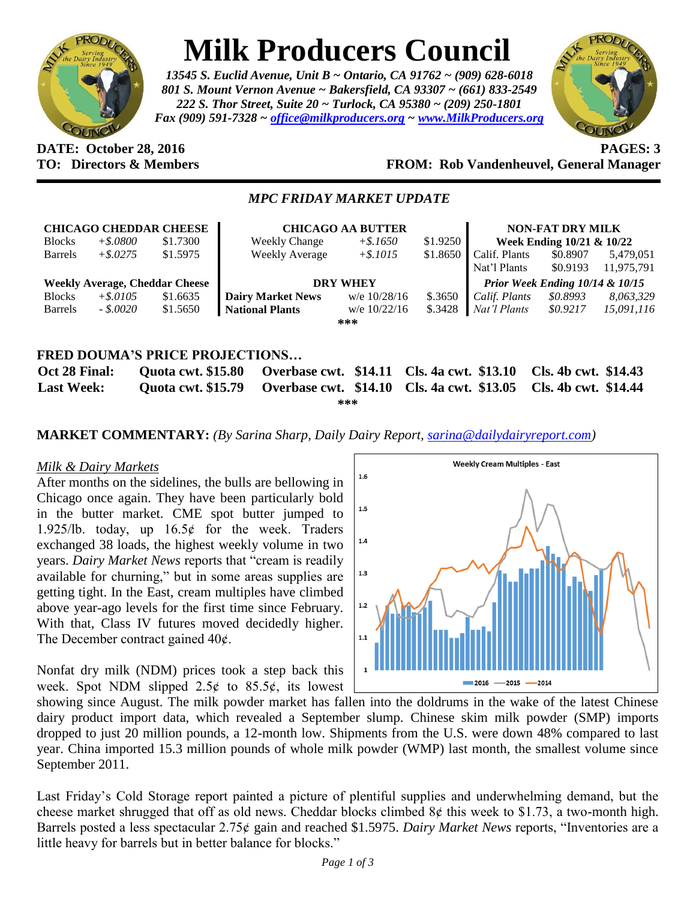

# **Milk Producers Council**

*13545 S. Euclid Avenue, Unit B ~ Ontario, CA 91762 ~ (909) 628-6018 801 S. Mount Vernon Avenue ~ Bakersfield, CA 93307 ~ (661) 833-2549 222 S. Thor Street, Suite 20 ~ Turlock, CA 95380 ~ (209) 250-1801 Fax (909) 591-7328 ~ [office@milkproducers.org](mailto:office@milkproducers.org) ~ [www.MilkProducers.org](http://www.milkproducers.org/)*



### **DATE: October 28, 2016 PAGES: 3 TO: Directors & Members FROM: Rob Vandenheuvel, General Manager**

## *MPC FRIDAY MARKET UPDATE*

|                                                                                                                         |             | <b>CHICAGO CHEDDAR CHEESE</b>         | <b>CHICAGO AA BUTTER</b> |                |          | <b>NON-FAT DRY MILK</b>         |          |            |
|-------------------------------------------------------------------------------------------------------------------------|-------------|---------------------------------------|--------------------------|----------------|----------|---------------------------------|----------|------------|
| <b>Blocks</b>                                                                                                           | $+$ \$.0800 | \$1.7300                              | <b>Weekly Change</b>     | $+$ \$.1650    | \$1.9250 | Week Ending 10/21 & 10/22       |          |            |
| <b>Barrels</b>                                                                                                          | $+$ \$.0275 | \$1.5975                              | Weekly Average           | $+$ \$.1015    | \$1.8650 | Calif. Plants                   | \$0.8907 | 5,479,051  |
|                                                                                                                         |             |                                       |                          |                |          | Nat'l Plants                    | \$0.9193 | 11,975,791 |
|                                                                                                                         |             | <b>Weekly Average, Cheddar Cheese</b> | <b>DRY WHEY</b>          |                |          | Prior Week Ending 10/14 & 10/15 |          |            |
| <b>Blocks</b>                                                                                                           | $+$ \$.0105 | \$1.6635                              | <b>Dairy Market News</b> | w/e 10/28/16   | \$.3650  | Calif. Plants                   | \$0.8993 | 8,063,329  |
| <b>Barrels</b>                                                                                                          | $-.8.0020$  | \$1.5650                              | <b>National Plants</b>   | w/e $10/22/16$ | \$.3428  | Nat'l Plants                    | \$0.9217 | 15.091.116 |
| ***                                                                                                                     |             |                                       |                          |                |          |                                 |          |            |
|                                                                                                                         |             |                                       |                          |                |          |                                 |          |            |
| <b>FRED DOUMA'S PRICE PROJECTIONS</b>                                                                                   |             |                                       |                          |                |          |                                 |          |            |
| <b>Overbase cwt. \$14.11 Cls. 4a cwt. \$13.10</b><br>Cls. 4b cwt. \$14.43<br><b>Ouota cwt. \$15.80</b><br>Oct 28 Final: |             |                                       |                          |                |          |                                 |          |            |

**Last Week: Quota cwt. \$15.79 Overbase cwt. \$14.10 Cls. 4a cwt. \$13.05 Cls. 4b cwt. \$14.44 \*\*\***

**MARKET COMMENTARY:** *(By Sarina Sharp, Daily Dairy Report, [sarina@dailydairyreport.com\)](mailto:sarina@dailydairyreport.com)*

### *Milk & Dairy Markets*

After months on the sidelines, the bulls are bellowing in Chicago once again. They have been particularly bold in the butter market. CME spot butter jumped to 1.925/lb. today, up  $16.5¢$  for the week. Traders exchanged 38 loads, the highest weekly volume in two years. *Dairy Market News* reports that "cream is readily available for churning," but in some areas supplies are getting tight. In the East, cream multiples have climbed above year-ago levels for the first time since February. With that, Class IV futures moved decidedly higher. The December contract gained  $40¢$ .

Nonfat dry milk (NDM) prices took a step back this week. Spot NDM slipped  $2.5¢$  to  $85.5¢$ , its lowest



showing since August. The milk powder market has fallen into the doldrums in the wake of the latest Chinese dairy product import data, which revealed a September slump. Chinese skim milk powder (SMP) imports dropped to just 20 million pounds, a 12-month low. Shipments from the U.S. were down 48% compared to last year. China imported 15.3 million pounds of whole milk powder (WMP) last month, the smallest volume since September 2011.

Last Friday's Cold Storage report painted a picture of plentiful supplies and underwhelming demand, but the cheese market shrugged that off as old news. Cheddar blocks climbed  $8¢$  this week to \$1.73, a two-month high. Barrels posted a less spectacular 2.75¢ gain and reached \$1.5975. *Dairy Market News* reports, "Inventories are a little heavy for barrels but in better balance for blocks."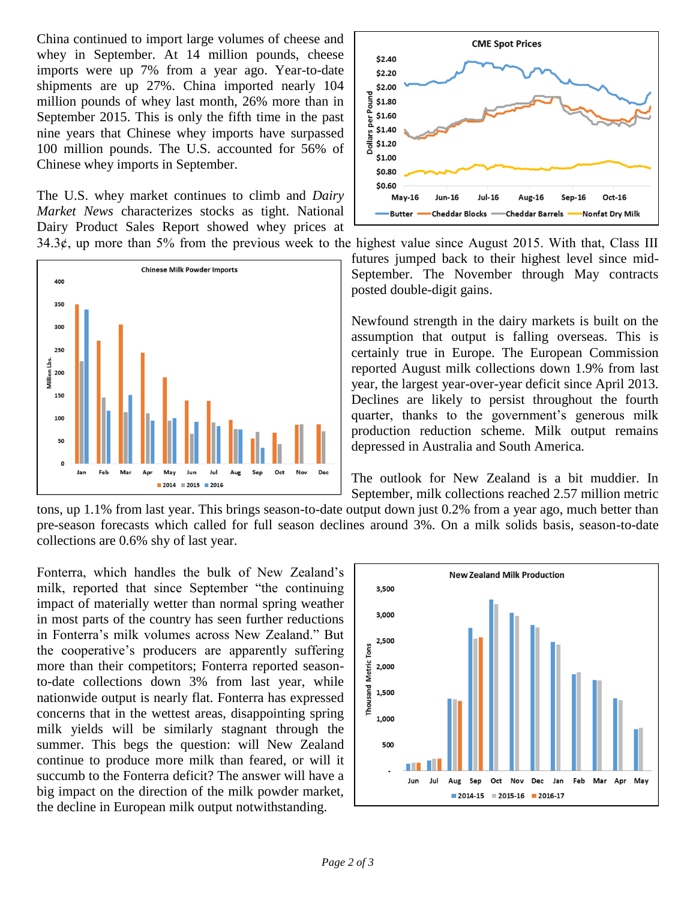China continued to import large volumes of cheese and whey in September. At 14 million pounds, cheese imports were up 7% from a year ago. Year-to-date shipments are up 27%. China imported nearly 104 million pounds of whey last month, 26% more than in September 2015. This is only the fifth time in the past nine years that Chinese whey imports have surpassed 100 million pounds. The U.S. accounted for 56% of Chinese whey imports in September.

The U.S. whey market continues to climb and *Dairy Market News* characterizes stocks as tight. National Dairy Product Sales Report showed whey prices at





34.3 $\phi$ , up more than 5% from the previous week to the highest value since August 2015. With that, Class III futures jumped back to their highest level since mid-September. The November through May contracts posted double-digit gains.

> Newfound strength in the dairy markets is built on the assumption that output is falling overseas. This is certainly true in Europe. The European Commission reported August milk collections down 1.9% from last year, the largest year-over-year deficit since April 2013. Declines are likely to persist throughout the fourth quarter, thanks to the government's generous milk production reduction scheme. Milk output remains depressed in Australia and South America.

> The outlook for New Zealand is a bit muddier. In September, milk collections reached 2.57 million metric

tons, up 1.1% from last year. This brings season-to-date output down just 0.2% from a year ago, much better than pre-season forecasts which called for full season declines around 3%. On a milk solids basis, season-to-date collections are 0.6% shy of last year.

Fonterra, which handles the bulk of New Zealand's milk, reported that since September "the continuing impact of materially wetter than normal spring weather in most parts of the country has seen further reductions in Fonterra's milk volumes across New Zealand." But the cooperative's producers are apparently suffering more than their competitors; Fonterra reported seasonto-date collections down 3% from last year, while nationwide output is nearly flat. Fonterra has expressed concerns that in the wettest areas, disappointing spring milk yields will be similarly stagnant through the summer. This begs the question: will New Zealand continue to produce more milk than feared, or will it succumb to the Fonterra deficit? The answer will have a big impact on the direction of the milk powder market, the decline in European milk output notwithstanding.